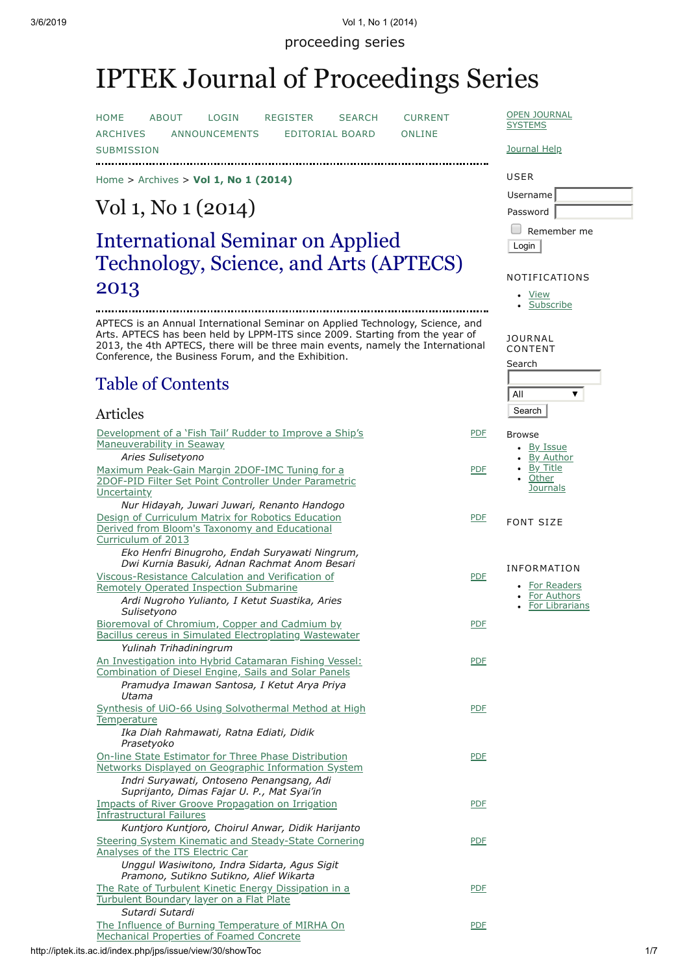proceeding series

# IPTEK Journal of Proceedings Series

[HOME](http://iptek.its.ac.id/index.php/jps/index) [ABOUT](http://iptek.its.ac.id/index.php/jps/about) [LOGIN](http://iptek.its.ac.id/index.php/jps/login) [REGISTER](http://iptek.its.ac.id/index.php/jps/user/register) [SEARCH](http://iptek.its.ac.id/index.php/jps/search) [CURRENT](http://iptek.its.ac.id/index.php/jps/issue/current) [ARCHIVES](http://iptek.its.ac.id/index.php/jps/issue/archive) [ANNOUNCEMENTS](http://iptek.its.ac.id/index.php/jps/about/submissions#onlineSubmissions) [EDITORIAL](http://iptek.its.ac.id/index.php/jps/pages/view/editorial) BOARD ONLINE **SUBMISSION** 

[Home](http://iptek.its.ac.id/index.php/jps/index) > [Archives](http://iptek.its.ac.id/index.php/jps/issue/archive) > **[Vol 1, No 1 \(2014\)](http://iptek.its.ac.id/index.php/jps/issue/view/30/showToc)**

# Vol 1, No 1 (2014)

## International Seminar on Applied Technology, Science, and Arts (APTECS) 2013

APTECS is an Annual International Seminar on Applied Technology, Science, and Arts. APTECS has been held by LPPM-ITS since 2009. Starting from the year of 2013, the 4th APTECS, there will be three main events, namely the International Conference, the Business Forum, and the Exhibition.

## Table of Contents

## Articles

**OPEN [JOURNAL](http://pkp.sfu.ca/ojs/) SYSTEMS** 

## [Journal](javascript:openHelp() Help

## USER Username Password  $\Box$  Remember me

Login

## NOTIFICATIONS

[View](http://iptek.its.ac.id/index.php/jps/notification) **[Subscribe](http://iptek.its.ac.id/index.php/jps/notification/subscribeMailList)** 

JOURNAL CONTENT

Search  $\overline{AII}$  $\overline{\textbf{v}}$ **Search** 

Browse • By [Issue](http://iptek.its.ac.id/index.php/jps/issue/archive) • By [Author](http://iptek.its.ac.id/index.php/jps/search/authors) • By [Title](http://iptek.its.ac.id/index.php/jps/search/titles) **Other [Journals](http://iptek.its.ac.id/index.php/index)** 

[PDF](http://iptek.its.ac.id/index.php/jps/article/view/376/227)

[PDF](http://iptek.its.ac.id/index.php/jps/article/view/308/224)

[PDF](http://iptek.its.ac.id/index.php/jps/article/view/337/225)

[PDF](http://iptek.its.ac.id/index.php/jps/article/view/406/262)

[PDF](http://iptek.its.ac.id/index.php/jps/article/view/383/219)

[PDF](http://iptek.its.ac.id/index.php/jps/article/view/417/272)

[PDF](http://iptek.its.ac.id/index.php/jps/article/view/371/228)

[PDF](http://iptek.its.ac.id/index.php/jps/article/view/435/231)

[PDF](http://iptek.its.ac.id/index.php/jps/article/view/233/232)

[PDF](http://iptek.its.ac.id/index.php/jps/article/view/322/263)

[PDF](http://iptek.its.ac.id/index.php/jps/article/view/188/264)

FONT SIZE [PDF](http://iptek.its.ac.id/index.php/jps/article/view/338/213)

- INFORMATION • For [Readers](http://iptek.its.ac.id/index.php/jps/information/readers)
	- For [Authors](http://iptek.its.ac.id/index.php/jps/information/authors)
	- For [Librarians](http://iptek.its.ac.id/index.php/jps/information/librarians)

http://iptek.its.ac.id/index.php/jps/issue/view/30/showToc 1/7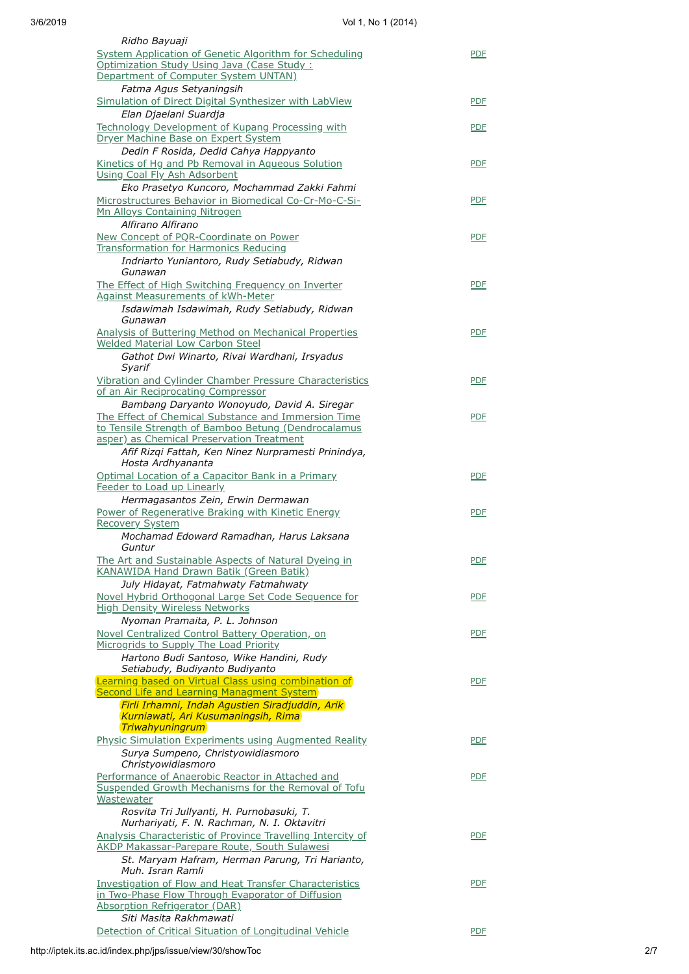| Ridho Bayuaji<br><b>System Application of Genetic Algorithm for Scheduling</b>    | <b>PDF</b> |
|-----------------------------------------------------------------------------------|------------|
| Optimization Study Using Java (Case Study:                                        |            |
| Department of Computer System UNTAN)                                              |            |
| Fatma Agus Setyaningsih                                                           |            |
|                                                                                   |            |
| Simulation of Direct Digital Synthesizer with LabView                             | <b>PDF</b> |
| Elan Djaelani Suardja                                                             |            |
| Technology Development of Kupang Processing with                                  | <b>PDF</b> |
| Dryer Machine Base on Expert System                                               |            |
| Dedin F Rosida, Dedid Cahya Happyanto                                             |            |
| Kinetics of Hg and Pb Removal in Aqueous Solution                                 | <b>PDF</b> |
| <b>Using Coal Fly Ash Adsorbent</b>                                               |            |
| Eko Prasetyo Kuncoro, Mochammad Zakki Fahmi                                       |            |
| Microstructures Behavior in Biomedical Co-Cr-Mo-C-Si-                             | <b>PDF</b> |
|                                                                                   |            |
| Mn Alloys Containing Nitrogen                                                     |            |
| Alfirano Alfirano                                                                 |            |
| New Concept of PQR-Coordinate on Power                                            | <b>PDF</b> |
| <b>Transformation for Harmonics Reducing</b>                                      |            |
| Indriarto Yuniantoro, Rudy Setiabudy, Ridwan                                      |            |
| Gunawan                                                                           |            |
| The Effect of High Switching Frequency on Inverter                                | <b>PDF</b> |
| <b>Against Measurements of kWh-Meter</b>                                          |            |
| Isdawimah Isdawimah, Rudy Setiabudy, Ridwan                                       |            |
| Gunawan                                                                           |            |
| <b>Analysis of Buttering Method on Mechanical Properties</b>                      | <b>PDF</b> |
| <b>Welded Material Low Carbon Steel</b>                                           |            |
|                                                                                   |            |
| Gathot Dwi Winarto, Rivai Wardhani, Irsyadus                                      |            |
| Syarif                                                                            |            |
| Vibration and Cylinder Chamber Pressure Characteristics                           | <b>PDF</b> |
| of an Air Reciprocating Compressor                                                |            |
| Bambang Daryanto Wonoyudo, David A. Siregar                                       |            |
| The Effect of Chemical Substance and Immersion Time                               | <b>PDF</b> |
| to Tensile Strength of Bamboo Betung (Dendrocalamus                               |            |
| asper) as Chemical Preservation Treatment                                         |            |
| Afif Rizqi Fattah, Ken Ninez Nurpramesti Prinindya,                               |            |
| Hosta Ardhyananta                                                                 |            |
|                                                                                   |            |
| Optimal Location of a Capacitor Bank in a Primary                                 | <b>PDF</b> |
| Feeder to Load up Linearly                                                        |            |
|                                                                                   |            |
| Hermagasantos Zein, Erwin Dermawan                                                |            |
| Power of Regenerative Braking with Kinetic Energy                                 | <b>PDF</b> |
| <b>Recovery System</b>                                                            |            |
| Mochamad Edoward Ramadhan, Harus Laksana                                          |            |
| Guntur                                                                            |            |
|                                                                                   | <b>PDF</b> |
| The Art and Sustainable Aspects of Natural Dyeing in                              |            |
| <b>KANAWIDA Hand Drawn Batik (Green Batik)</b>                                    |            |
| July Hidayat, Fatmahwaty Fatmahwaty                                               |            |
| Novel Hybrid Orthogonal Large Set Code Sequence for                               | <b>PDF</b> |
| <b>High Density Wireless Networks</b>                                             |            |
| Nyoman Pramaita, P. L. Johnson                                                    |            |
| Novel Centralized Control Battery Operation, on                                   | <b>PDF</b> |
| Microgrids to Supply The Load Priority                                            |            |
| Hartono Budi Santoso, Wike Handini, Rudy                                          |            |
|                                                                                   |            |
| Setiabudy, Budiyanto Budiyanto                                                    |            |
| Learning based on Virtual Class using combination of                              | <b>PDF</b> |
| <b>Second Life and Learning Managment System</b>                                  |            |
| Firli Irhamni, Indah Agustien Siradjuddin, Arik                                   |            |
| Kurniawati, Ari Kusumaningsih, Rima                                               |            |
| Triwahyuningrum                                                                   |            |
| <b>Physic Simulation Experiments using Augmented Reality</b>                      | <b>PDF</b> |
| Surya Sumpeno, Christyowidiasmoro                                                 |            |
| Christyowidiasmoro                                                                |            |
| Performance of Anaerobic Reactor in Attached and                                  | <b>PDF</b> |
| Suspended Growth Mechanisms for the Removal of Tofu                               |            |
| Wastewater                                                                        |            |
|                                                                                   |            |
| Rosvita Tri Jullyanti, H. Purnobasuki, T.                                         |            |
| Nurhariyati, F. N. Rachman, N. I. Oktavitri                                       |            |
| Analysis Characteristic of Province Travelling Intercity of                       | <b>PDF</b> |
| AKDP Makassar-Parepare Route, South Sulawesi                                      |            |
| St. Maryam Hafram, Herman Parung, Tri Harianto,                                   |            |
| Muh. Isran Ramli                                                                  |            |
| Investigation of Flow and Heat Transfer Characteristics                           | <b>PDF</b> |
| in Two-Phase Flow Through Evaporator of Diffusion                                 |            |
| Absorption Refrigerator (DAR)                                                     |            |
| Siti Masita Rakhmawati<br>Detection of Critical Situation of Longitudinal Vehicle | <b>PDF</b> |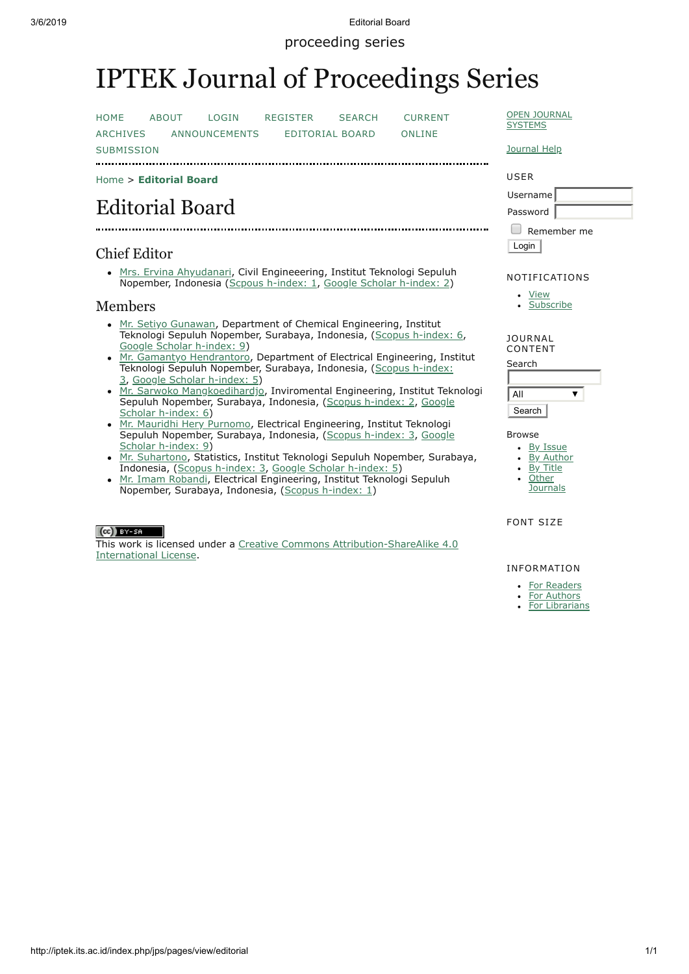3/6/2019 Editorial Board

proceeding series

# IPTEK Journal of Proceedings Series

[HOME](http://iptek.its.ac.id/index.php/jps/index) [ABOUT](http://iptek.its.ac.id/index.php/jps/about) [LOGIN](http://iptek.its.ac.id/index.php/jps/login) [REGISTER](http://iptek.its.ac.id/index.php/jps/user/register) [SEARCH](http://iptek.its.ac.id/index.php/jps/search) [CURRENT](http://iptek.its.ac.id/index.php/jps/issue/current)

[ARCHIVES](http://iptek.its.ac.id/index.php/jps/issue/archive) [ANNOUNCEMENTS](http://iptek.its.ac.id/index.php/jps/about/submissions#onlineSubmissions) [EDITORIAL](http://iptek.its.ac.id/index.php/jps/pages/view/editorial) BOARD ONLINE

**SUBMISSION** 

[Home](http://iptek.its.ac.id/index.php/jps/index) > **[Editorial Board](http://iptek.its.ac.id/index.php/jps/pages/view/editorial)**

## Editorial Board

## Chief Editor

[Mrs. Ervina Ahyudanari](http://resits.its.ac.id/index.php/expert/Civil_Engineering/Ervina_Ahyudanari), Civil Engineeering, Institut Teknologi Sepuluh Nopember, Indonesia ([Scpous h-index: 1](http://www.scopus.com/authid/detail.url?authorId=55005951700), [Google Scholar h-index: 2\)](https://scholar.google.com/citations?user=UATrehcAAAAJ&hl=id)

## Members

- [Mr. Setiyo Gunawan](http://personal.its.ac.id/dataPersonal.php?userid=Setiyo%20Gunawan), Department of Chemical Engineering, Institut Teknologi Sepuluh Nopember, Surabaya, Indonesia, ([Scopus h-index: 6](http://www.scopus.com/authid/detail.url?authorId=14029978800), [Google Scholar h-index: 9\)](http://scholar.google.com/citations?user=6iMuowMAAAAJ&hl=en)
- [Mr. Gamantyo Hendrantoro,](http://personal.its.ac.id/dataPersonal.php?userid=gamantyo) Department of Electrical Engineering, Institut [Teknologi Sepuluh Nopember, Surabaya, Indonesia, \(Scopus h-index:](http://www.scopus.com/authid/detail.url?authorId=6506791671) 3, [Google Scholar h-index: 5\)](http://scholar.google.com/citations?user=s8W61UEAAAAJ&hl=en&oi=ao)
- [Mr. Sarwoko Mangkoedihardjo,](http://personal.its.ac.id/dataPersonal.php?userid=sarwoko) Inviromental Engineering, Institut Teknologi [Sepuluh Nopember, Surabaya, Indonesia, \(S](http://scholar.google.com/citations?user=FaTCvKUAAAAJ&hl=en&oi=ao)[copus h-index:](http://www.scopus.com/authid/detail.url?authorId=24067664800) [2, Google](http://scholar.google.com/citations?user=FaTCvKUAAAAJ&hl=en&oi=ao) Scholar h-index: 6)
- [Mr. Mauridhi Hery Purnomo](http://personal.its.ac.id/dataPersonal.php?userid=hery), Electrical Engineering, Institut Teknologi [Sepuluh Nopember, Surabaya, Indonesia, \(S](http://scholar.google.com/citations?user=i11OYtwAAAAJ&hl=en)[copus h-index:](http://www.scopus.com/authid/detail.url?authorId=6602604153) [3, Google](http://scholar.google.com/citations?user=i11OYtwAAAAJ&hl=en) Scholar h-index: 9)
- [Mr. Suhartono,](http://personal.its.ac.id/dataPersonal.php?userid=suhartono-statistics) Statistics, Institut Teknologi Sepuluh Nopember, Surabaya, Indonesia, ([Scopus h-index: 3](http://www.scopus.com/authid/detail.url?authorId=34980102200), [Google Scholar h-index: 5](http://scholar.google.com/citations?user=BvEfK9UAAAAJ&hl=en))
- [Mr. Imam Robandi](http://personal.its.ac.id/dataPersonal.php?userid=profdririmamrobandi), Electrical Engineering, Institut Teknologi Sepuluh Nopember, Surabaya, Indonesia, ([Scopus h-index: 1\)](http://www.scopus.com/authid/detail.url?authorId=23107428900)

### $(Cc)$  BY-SA

[This work is licensed under a Creative Commons Attribution-ShareAlike 4.0](javascript:void(0);) International License.

#### OPEN [JOURNAL](http://pkp.sfu.ca/ojs/) **SYSTEMS**

### [Journal](javascript:openHelp() Help

## USER Username Password  $\Box$  Remember me

Login

## NOTIFICATIONS

[View](http://iptek.its.ac.id/index.php/jps/notification)  $\overline{\phantom{a}}$ [Subscribe](http://iptek.its.ac.id/index.php/jps/notification/subscribeMailList)

### JOURNAL CONTENT

| Search |  |
|--------|--|
|        |  |
| ΔII    |  |

Search<sup>1</sup>

### Browse

- By [Issue](http://iptek.its.ac.id/index.php/jps/issue/archive)
- By [Author](http://iptek.its.ac.id/index.php/jps/search/authors)

• By [Title](http://iptek.its.ac.id/index.php/jps/search/titles) • Other

**[Journals](http://iptek.its.ac.id/index.php/index)** 

### FONT SIZE

## INFORMATION

- For [Readers](http://iptek.its.ac.id/index.php/jps/information/readers)
- For [Authors](http://iptek.its.ac.id/index.php/jps/information/authors)
- For [Librarians](http://iptek.its.ac.id/index.php/jps/information/librarians)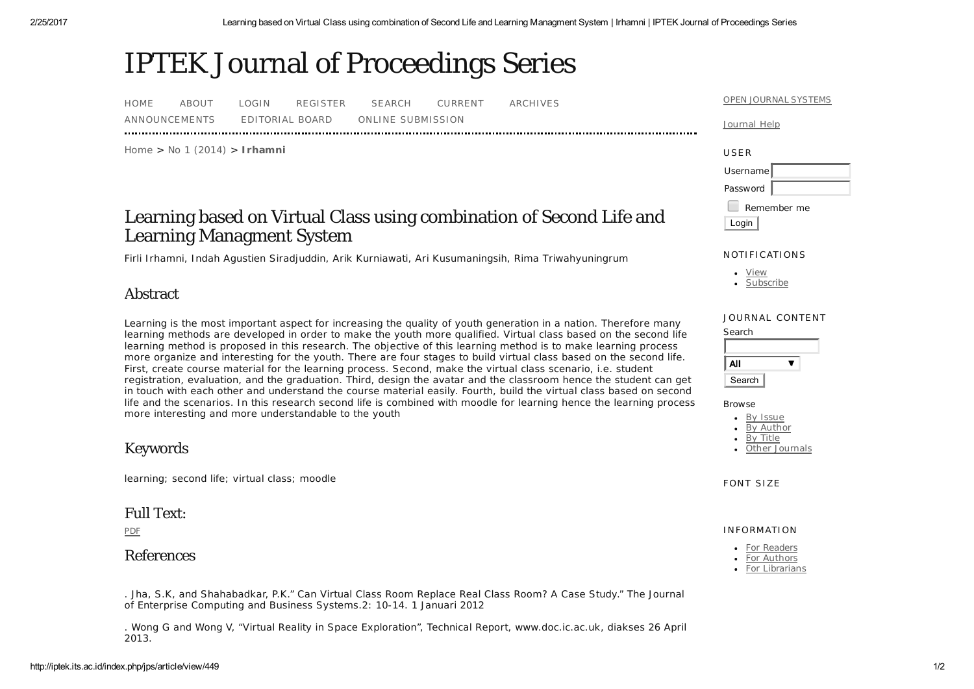# IPTEK Journal of Proceedings Series

| <b>HOME</b>   | ABOUT | LOGIN.          | REGISTER | SEARCH            | CURRENT | ARCHIVES |
|---------------|-------|-----------------|----------|-------------------|---------|----------|
| ANNOUNCEMENTS |       | EDITORIAL BOARD |          | ONLINE SUBMISSION |         |          |

Home > No 1 (2014) > **Irhamni**

## Learning based on Virtual Class using combination of Second Life and Learning Managment System

*Firli Irhamni, Indah Agustien Siradjuddin, Arik Kurniawati, Ari Kusumaningsih, Rima Triwahyuningrum*

## Abstract

Learning is the most important aspect for increasing the quality of youth generation in a nation. Therefore many learning methods are developed in order to make the youth more qualified. Virtual class based on the second life learning method is proposed in this research. The objective of this learning method is to make learning process more organize and interesting for the youth. There are four stages to build virtual class based on the second life. First, create course material for the learning process. Second, make the virtual class scenario, i.e. student registration, evaluation, and the graduation. Third, design the avatar and the classroom hence the student can get in touch with each other and understand the course material easily. Fourth, build the virtual class based on second life and the scenarios. In this research second life is combined with moodle for learning hence the learning process more interesting and more understandable to the youth

## Keywords

learning; second life; virtual class; moodle

## Full Text:

PDF

## References

. Jha, S.K, and Shahabadkar, P.K." Can Virtual Class Room Replace Real Class Room? A Case Study." The Journal of Enterprise Computing and Business Systems.2: 10-14. 1 Januari 2012

. Wong G and Wong V, "Virtual Reality in Space Exploration", Technical Report, www.doc.ic.ac.uk, diakses 26 April 2013.

#### <u>OPEN JOURNAL SYSTEMS</u>

#### Journal Help



### NOTIFICATIONS

| <b>Service Service</b><br>ve. |  |
|-------------------------------|--|
|                               |  |

### JOURNAL CONTENT

| All    |  |
|--------|--|
| Search |  |

**Browse** 

By Issue **By Author** By Title

Other Journals

FONT SIZE

### INFORMATION

| حص            |
|---------------|
| - 1           |
| $\sim$<br>. . |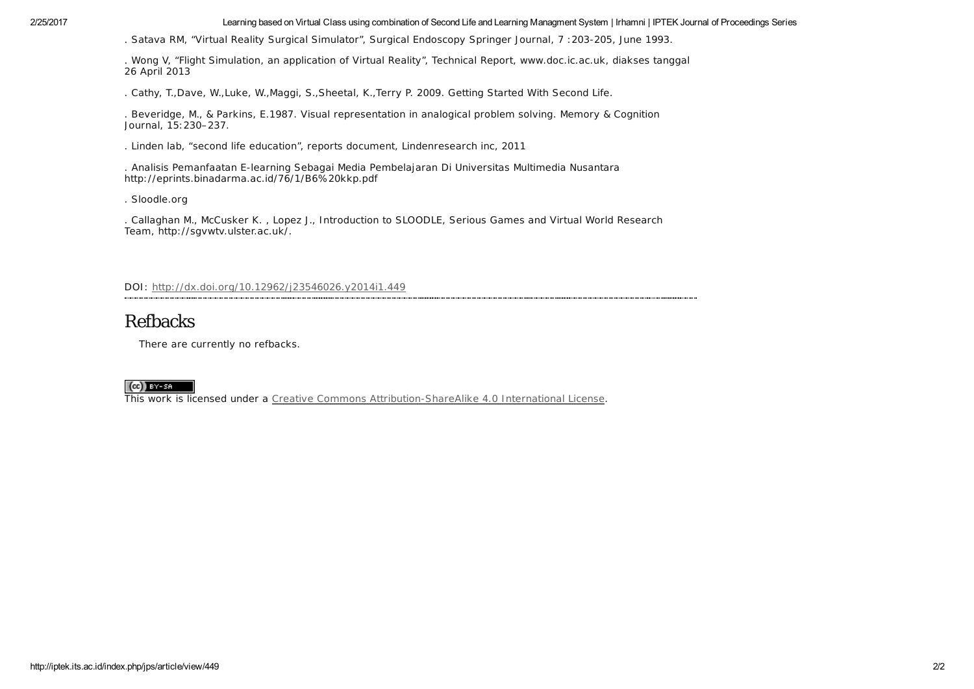2/25/2017 Learning based on Virtual Class using combination of Second Life and Learning Managment System | Irhamni | IPTEK Journal of Proceedings Series

. Satava RM, "Virtual Reality Surgical Simulator", Surgical Endoscopy Springer Journal, 7 :203-205, June 1993.

. Wong V, "Flight Simulation, an application of Virtual Reality", Technical Report, www.doc.ic.ac.uk, diakses tanggal 26 April 2013

. Cathy, T.,Dave, W.,Luke, W.,Maggi, S.,Sheetal, K.,Terry P. 2009. Getting Started With Second Life.

. Beveridge, M., & Parkins, E.1987. Visual representation in analogical problem solving. Memory & Cognition Journal, 15:230–237.

. Linden lab, "second life education", reports document, Lindenresearch inc, 2011

. Analisis Pemanfaatan E-learning Sebagai Media Pembelajaran Di Universitas Multimedia Nusantara http://eprints.binadarma.ac.id/76/1/B6%20kkp.pdf

. Sloodle.org

. Callaghan M., McCusker K. , Lopez J., Introduction to SLOODLE, Serious Games and Virtual World Research Team, http://sgvwtv.ulster.ac.uk/.

DOI: http://dx.doi.org/10.12962/j23546026.y2014i1.449

## Refbacks

There are currently no refbacks.

### $(cc)$  BY-SA

This work is licensed under a Creative Commons Attribution-ShareAlike 4.0 International License.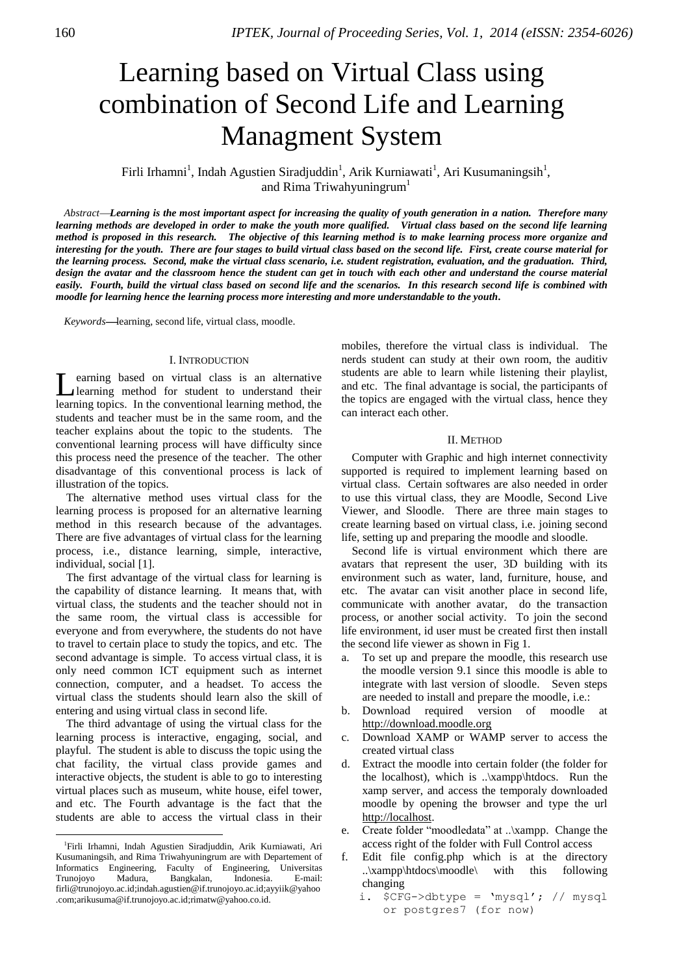## Learning based on Virtual Class using combination of Second Life and Learning Managment System  $\mathbf{I}$

Firli Irhamni<sup>1</sup>, Indah Agustien Siradjuddin<sup>1</sup>, Arik Kurniawati<sup>1</sup>, Ari Kusumaningsih<sup>1</sup>, and Rima Triwahyuningrum<sup>1</sup>

*AbstractLearning is the most important aspect for increasing the quality of youth generation in a nation. Therefore many learning methods are developed in order to make the youth more qualified. Virtual class based on the second life learning method is proposed in this research. The objective of this learning method is to make learning process more organize and interesting for the youth. There are four stages to build virtual class based on the second life. First, create course material for the learning process. Second, make the virtual class scenario, i.e. student registration, evaluation, and the graduation. Third, design the avatar and the classroom hence the student can get in touch with each other and understand the course material easily. Fourth, build the virtual class based on second life and the scenarios. In this research second life is combined with moodle for learning hence the learning process more interesting and more understandable to the youth.*

Keywords-learning, second life, virtual class, moodle.

### I. INTRODUCTION

earning based on virtual class is an alternative learning method for student to understand their learning topics. In the conventional learning method, the students and teacher must be in the same room, and the teacher explains about the topic to the students. The conventional learning process will have difficulty since this process need the presence of the teacher. The other disadvantage of this conventional process is lack of illustration of the topics. L

The alternative method uses virtual class for the learning process is proposed for an alternative learning method in this research because of the advantages. There are five advantages of virtual class for the learning process, i.e., distance learning, simple, interactive, individual, social [1].

The first advantage of the virtual class for learning is the capability of distance learning. It means that, with virtual class, the students and the teacher should not in the same room, the virtual class is accessible for everyone and from everywhere, the students do not have to travel to certain place to study the topics, and etc. The second advantage is simple. To access virtual class, it is only need common ICT equipment such as internet connection, computer, and a headset. To access the virtual class the students should learn also the skill of entering and using virtual class in second life.

The third advantage of using the virtual class for the learning process is interactive, engaging, social, and playful. The student is able to discuss the topic using the chat facility, the virtual class provide games and interactive objects, the student is able to go to interesting virtual places such as museum, white house, eifel tower, and etc. The Fourth advantage is the fact that the students are able to access the virtual class in their

 $\overline{a}$ 

mobiles, therefore the virtual class is individual. The nerds student can study at their own room, the auditiv students are able to learn while listening their playlist, and etc. The final advantage is social, the participants of the topics are engaged with the virtual class, hence they can interact each other.

### II. METHOD

Computer with Graphic and high internet connectivity supported is required to implement learning based on virtual class. Certain softwares are also needed in order to use this virtual class, they are Moodle, Second Live Viewer, and Sloodle. There are three main stages to create learning based on virtual class, i.e. joining second life, setting up and preparing the moodle and sloodle.

Second life is virtual environment which there are avatars that represent the user, 3D building with its environment such as water, land, furniture, house, and etc. The avatar can visit another place in second life, communicate with another avatar, do the transaction process, or another social activity. To join the second life environment, id user must be created first then install the second life viewer as shown in Fig 1.

- a. To set up and prepare the moodle, this research use the moodle version 9.1 since this moodle is able to integrate with last version of sloodle. Seven steps are needed to install and prepare the moodle, i.e.:
- b. Download required version of moodle at [http://download.moodle.org](http://download.moodle.org/)
- c. Download XAMP or WAMP server to access the created virtual class
- d. Extract the moodle into certain folder (the folder for the localhost), which is ..\xampp\htdocs. Run the xamp server, and access the temporaly downloaded moodle by opening the browser and type the url [http://localhost.](http://localhost/)
- e. Create folder "moodledata" at ..\xampp. Change the access right of the folder with Full Control access
- f. Edit file config.php which is at the directory ..\xampp\htdocs\moodle\ with this following changing
	- i. \$CFG->dbtype = 'mysql'; // mysql or postgres7 (for now)

<sup>1</sup> Firli Irhamni, Indah Agustien Siradjuddin, Arik Kurniawati, Ari Kusumaningsih, and Rima Triwahyuningrum are with Departement of Informatics Engineering, Faculty of Engineering, Universitas Trunojoyo Madura, Bangkalan, Indonesia. E-mail: [firli@trunojoyo.ac.id](mailto:firli@trunojoyo.ac.id)[;indah.agustien@if.trunojoyo.ac.id;](mailto:indah.agustien@if.trunojoyo.ac.id)[ayyiik@yahoo](mailto:ayyiik@yahoo.com) [.com](mailto:ayyiik@yahoo.com)[;arikusuma@if.trunojoyo.ac.id;](mailto:arikusuma@if.trunojoyo.ac.id)rimatw@yahoo.co.id.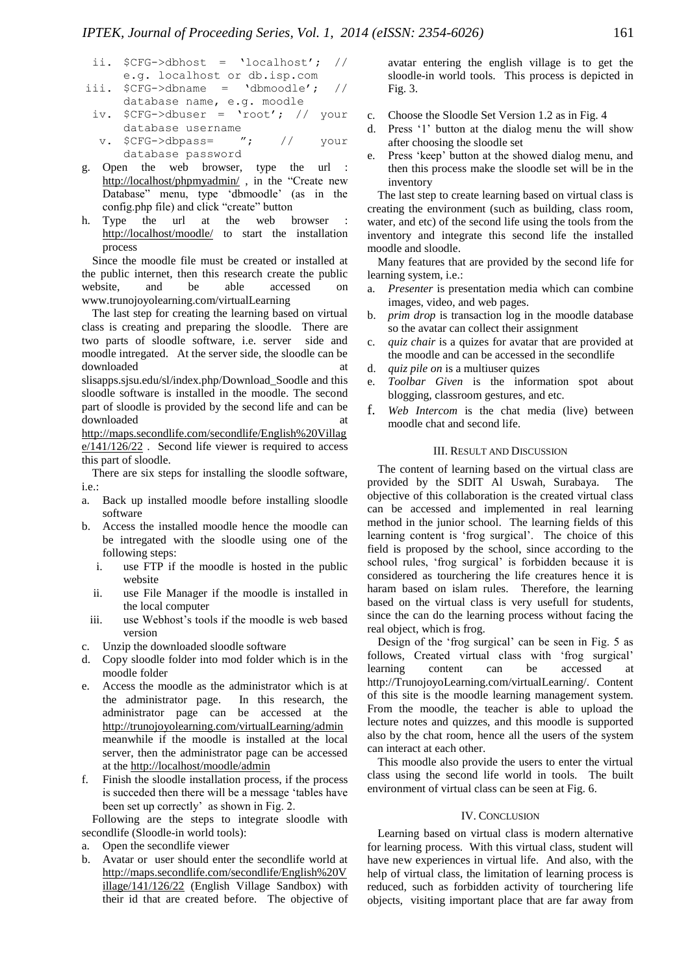- ii. \$CFG->dbhost = 'localhost'; // e.g. localhost or db.isp.com
- iii.  $SCFG->dbname = 'dbmoodle'; //$ database name, e.g. moodle
	- iv. \$CFG->dbuser = 'root'; // your database username<br>SCFG->dbpass= ";
	- v. \$CFG->dbpass= "; // your database password
- g. Open the web browser, type the url <http://localhost/phpmyadmin/>, in the "Create new Database" menu, type "dbmoodle" (as in the config.php file) and click "create" button
- h. Type the url at the web browser <http://localhost/moodle/> to start the installation process

Since the moodle file must be created or installed at the public internet, then this research create the public website, and be able accessed on www.trunojoyolearning.com/virtualLearning

The last step for creating the learning based on virtual class is creating and preparing the sloodle. There are two parts of sloodle software, i.e. server side and moodle intregated. At the server side, the sloodle can be downloaded at a structure of  $\alpha$  at  $\alpha$ slisapps.sjsu.edu/sl/index.php/Download\_Soodle and this sloodle software is installed in the moodle. The second part of sloodle is provided by the second life and can be downloaded at a state of  $\alpha$  at a state of  $\alpha$  at a state of  $\alpha$  at a state of  $\alpha$  at a state of  $\alpha$  at a state of  $\alpha$  at a state of  $\alpha$  at a state of  $\alpha$  at a state of  $\alpha$  at a state of  $\alpha$  at a state of  $\alpha$  at [http://maps.secondlife.com/secondlife/English%20Villag](http://maps.secondlife.com/secondlife/English%20Village/141/126/22)

 $e/141/126/22$ . Second life viewer is required to access this part of sloodle.

There are six steps for installing the sloodle software, i.e.:

- a. Back up installed moodle before installing sloodle software
- b. Access the installed moodle hence the moodle can be intregated with the sloodle using one of the following steps:
	- i. use FTP if the moodle is hosted in the public website
	- ii. use File Manager if the moodle is installed in the local computer
	- iii. use Webhost"s tools if the moodle is web based version
- c. Unzip the downloaded sloodle software
- d. Copy sloodle folder into mod folder which is in the moodle folder
- e. Access the moodle as the administrator which is at the administrator page. In this research, the administrator page can be accessed at the <http://trunojoyolearning.com/virtualLearning/admin> meanwhile if the moodle is installed at the local server, then the administrator page can be accessed at the<http://localhost/moodle/admin>
- f. Finish the sloodle installation process, if the process is succeded then there will be a message "tables have been set up correctly' as shown in Fig. 2.

Following are the steps to integrate sloodle with secondlife (Sloodle-in world tools):

- a. Open the secondlife viewer
- b. Avatar or user should enter the secondlife world at [http://maps.secondlife.com/secondlife/English%20V](http://maps.secondlife.com/secondlife/English%20Village/141/126/22) [illage/141/126/22](http://maps.secondlife.com/secondlife/English%20Village/141/126/22) (English Village Sandbox) with their id that are created before. The objective of

avatar entering the english village is to get the sloodle-in world tools. This process is depicted in Fig. 3.

- c. Choose the Sloodle Set Version 1.2 as in Fig. 4
- d. Press "1" button at the dialog menu the will show after choosing the sloodle set
- e. Press "keep" button at the showed dialog menu, and then this process make the sloodle set will be in the inventory

The last step to create learning based on virtual class is creating the environment (such as building, class room, water, and etc) of the second life using the tools from the inventory and integrate this second life the installed moodle and sloodle.

Many features that are provided by the second life for learning system, i.e.:

- a. *Presenter* is presentation media which can combine images, video, and web pages.
- b. *prim drop* is transaction log in the moodle database so the avatar can collect their assignment
- c. *quiz chair* is a quizes for avatar that are provided at the moodle and can be accessed in the secondlife
- d. *quiz pile on* is a multiuser quizes
- e. *Toolbar Given* is the information spot about blogging, classroom gestures, and etc.
- f. *Web Intercom* is the chat media (live) between moodle chat and second life.

## III. RESULT AND DISCUSSION

The content of learning based on the virtual class are provided by the SDIT Al Uswah, Surabaya. The objective of this collaboration is the created virtual class can be accessed and implemented in real learning method in the junior school. The learning fields of this learning content is 'frog surgical'. The choice of this field is proposed by the school, since according to the school rules, 'frog surgical' is forbidden because it is considered as tourchering the life creatures hence it is haram based on islam rules. Therefore, the learning based on the virtual class is very usefull for students, since the can do the learning process without facing the real object, which is frog.

Design of the 'frog surgical' can be seen in Fig. 5 as follows, Created virtual class with 'frog surgical' learning content can be accessed http://TrunojoyoLearning.com/virtualLearning/. Content of this site is the moodle learning management system. From the moodle, the teacher is able to upload the lecture notes and quizzes, and this moodle is supported also by the chat room, hence all the users of the system can interact at each other.

This moodle also provide the users to enter the virtual class using the second life world in tools. The built environment of virtual class can be seen at Fig. 6.

### IV. CONCLUSION

Learning based on virtual class is modern alternative for learning process. With this virtual class, student will have new experiences in virtual life. And also, with the help of virtual class, the limitation of learning process is reduced, such as forbidden activity of tourchering life objects, visiting important place that are far away from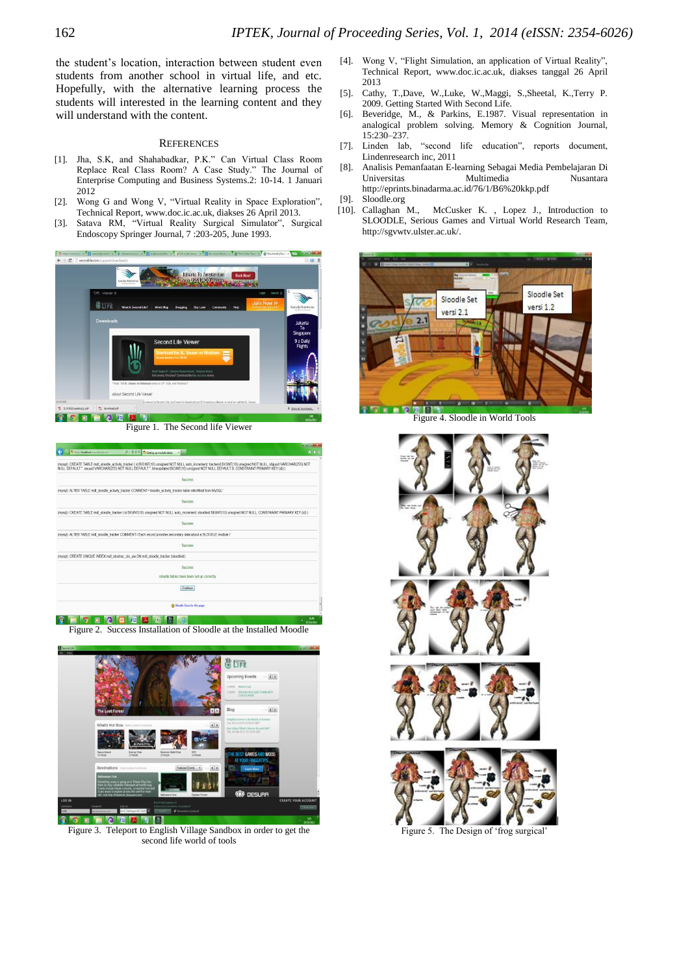the student"s location, interaction between student even students from another school in virtual life, and etc. Hopefully, with the alternative learning process the students will interested in the learning content and they will understand with the content.

### **REFERENCES**

- [1]. Jha, S.K, and Shahabadkar, P.K." Can Virtual Class Room Replace Real Class Room? A Case Study." The Journal of Enterprise Computing and Business Systems.2: 10-14. 1 Januari 2012
- [2]. Wong G and Wong V, "Virtual Reality in Space Exploration", Technical Report, www.doc.ic.ac.uk, diakses 26 April 2013.
- [3]. Satava RM, "Virtual Reality Surgical Simulator", Surgical Endoscopy Springer Journal, 7 :203-205, June 1993.



|                                                                                                                                                                                                                                                                                                                    | and the Bar  |
|--------------------------------------------------------------------------------------------------------------------------------------------------------------------------------------------------------------------------------------------------------------------------------------------------------------------|--------------|
| Th http://localhost/moodle/scimin/<br>$D = \frac{m}{m}$ d $X$ Th Setting up module tables<br>×l                                                                                                                                                                                                                    | $A \times Q$ |
| (mysql): CREATE TABLE mdl sloodle activity_tracker ( id BIGINT(10) unsigned NOT NULL auto increment, trackerid BIGINT(10) unsigned NOT NULL, objuuid VARCHAR(255) NOT<br>NULL DEFAULT *. avusid VARCHAR(255) NOT NULL DEFAULT *. timeupdated BIGINT(10) unsigned NOT NULL DEFAULT 0. CONSTRAINT PRIMARY KEY (id) ) |              |
| Success                                                                                                                                                                                                                                                                                                            |              |
| (mysql): ALTER TABLE mdl sloodle activity tracker COMMENT='sloodle activity tracker table retrofitted from MySQL'                                                                                                                                                                                                  |              |
| Success                                                                                                                                                                                                                                                                                                            |              |
| (mysql): CREATE TABLE mdl sloodle tracker (id BIGINT(10) unsigned NOT NULL auto increment sloodleid BIGINT(10) unsigned NOT NULL, CONSTRAINT PRIMARY KEY (id) )                                                                                                                                                    |              |
| Success                                                                                                                                                                                                                                                                                                            |              |
| (mysql): ALTER TABLE md sloodle tracker COMMENT='Each record provides secondary data about a SLOODLE module i'                                                                                                                                                                                                     |              |
| Surress                                                                                                                                                                                                                                                                                                            |              |
| (mysql): CREATE UNIQUE INDEX mdl slootrac_slo_uix ON mdl_sloodle_tracker (sloodleid)                                                                                                                                                                                                                               |              |
| <b>Success</b>                                                                                                                                                                                                                                                                                                     |              |
| sloodle tables have been set up correctly                                                                                                                                                                                                                                                                          |              |
| Continue                                                                                                                                                                                                                                                                                                           |              |
| <b>CD</b> Moodle Docs for this page                                                                                                                                                                                                                                                                                |              |
|                                                                                                                                                                                                                                                                                                                    |              |

Figure 2. Success Installation of Sloodle at the Installed Moodle



Figure 3. Teleport to English Village Sandbox in order to get the second life world of tools

- [4]. Wong V, "Flight Simulation, an application of Virtual Reality", Technical Report, www.doc.ic.ac.uk, diakses tanggal 26 April 2013
- [5]. Cathy, T.,Dave, W.,Luke, W.,Maggi, S.,Sheetal, K.,Terry P. 2009. Getting Started With Second Life.
- [6]. Beveridge, M., & Parkins, E.1987. Visual representation in analogical problem solving. Memory & Cognition Journal, 15:230–237.
- [7]. Linden lab, "second life education", reports document, Lindenresearch inc, 2011
- [8]. Analisis Pemanfaatan E-learning Sebagai Media Pembelajaran Di Universitas Multimedia Nusantara http://eprints.binadarma.ac.id/76/1/B6%20kkp.pdf
- [9]. Sloodle.org
- [10]. Callaghan M., McCusker K. , Lopez J., Introduction to SLOODLE, Serious Games and Virtual World Research Team, http://sgvwtv.ulster.ac.uk/.



Figure 4. Sloodle in World Tools